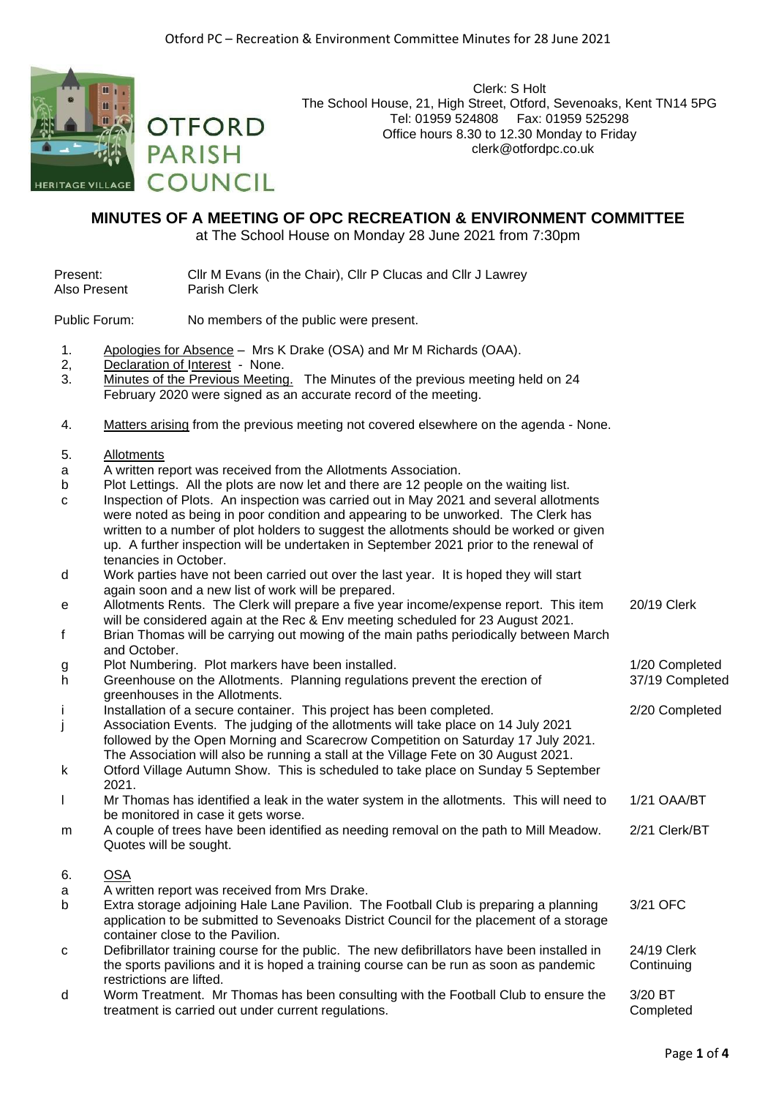

Clerk: S Holt The School House, 21, High Street, Otford, Sevenoaks, Kent TN14 5PG Tel: 01959 524808 Fax: 01959 525298 Office hours 8.30 to 12.30 Monday to Friday clerk@otfordpc.co.uk

## **MINUTES OF A MEETING OF OPC RECREATION & ENVIRONMENT COMMITTEE**

at The School House on Monday 28 June 2021 from 7:30pm

| Present:     | CIIr M Evans (in the Chair), CIIr P Clucas and CIIr J Lawrey |
|--------------|--------------------------------------------------------------|
| Also Present | <b>Parish Clerk</b>                                          |

Public Forum: No members of the public were present.

**OTFORD** 

**COUNCIL** 

**PARISH** 

- 1. Apologies for Absence Mrs K Drake (OSA) and Mr M Richards (OAA).
- 2, Declaration of Interest None.<br>3. Minutes of the Previous Meeting
- Minutes of the Previous Meeting. The Minutes of the previous meeting held on 24 February 2020 were signed as an accurate record of the meeting.
- 4. Matters arising from the previous meeting not covered elsewhere on the agenda None.
- 5. Allotments
- a A written report was received from the Allotments Association.
- b Plot Lettings. All the plots are now let and there are 12 people on the waiting list.
- c Inspection of Plots. An inspection was carried out in May 2021 and several allotments were noted as being in poor condition and appearing to be unworked. The Clerk has written to a number of plot holders to suggest the allotments should be worked or given up. A further inspection will be undertaken in September 2021 prior to the renewal of tenancies in October.
- d Work parties have not been carried out over the last year. It is hoped they will start again soon and a new list of work will be prepared.
- e Allotments Rents. The Clerk will prepare a five year income/expense report. This item will be considered again at the Rec & Env meeting scheduled for 23 August 2021. 20/19 Clerk
- f Brian Thomas will be carrying out mowing of the main paths periodically between March and October.
- g Plot Numbering. Plot markers have been installed. 1/20 Completed
- h Greenhouse on the Allotments. Planning regulations prevent the erection of greenhouses in the Allotments.
- i Installation of a secure container. This project has been completed. 2/20 Completed
- j Association Events. The judging of the allotments will take place on 14 July 2021 followed by the Open Morning and Scarecrow Competition on Saturday 17 July 2021. The Association will also be running a stall at the Village Fete on 30 August 2021.
- k Otford Village Autumn Show. This is scheduled to take place on Sunday 5 September 2021.
- l Mr Thomas has identified a leak in the water system in the allotments. This will need to be monitored in case it gets worse. 1/21 OAA/BT
- m A couple of trees have been identified as needing removal on the path to Mill Meadow. Quotes will be sought. 2/21 Clerk/BT
- 6. OSA
- a A written report was received from Mrs Drake.
- b Extra storage adjoining Hale Lane Pavilion. The Football Club is preparing a planning application to be submitted to Sevenoaks District Council for the placement of a storage container close to the Pavilion. 3/21 OFC
- c Defibrillator training course for the public. The new defibrillators have been installed in the sports pavilions and it is hoped a training course can be run as soon as pandemic restrictions are lifted. 24/19 Clerk **Continuing**
- d Worm Treatment. Mr Thomas has been consulting with the Football Club to ensure the treatment is carried out under current regulations. 3/20 BT **Completed**

37/19 Completed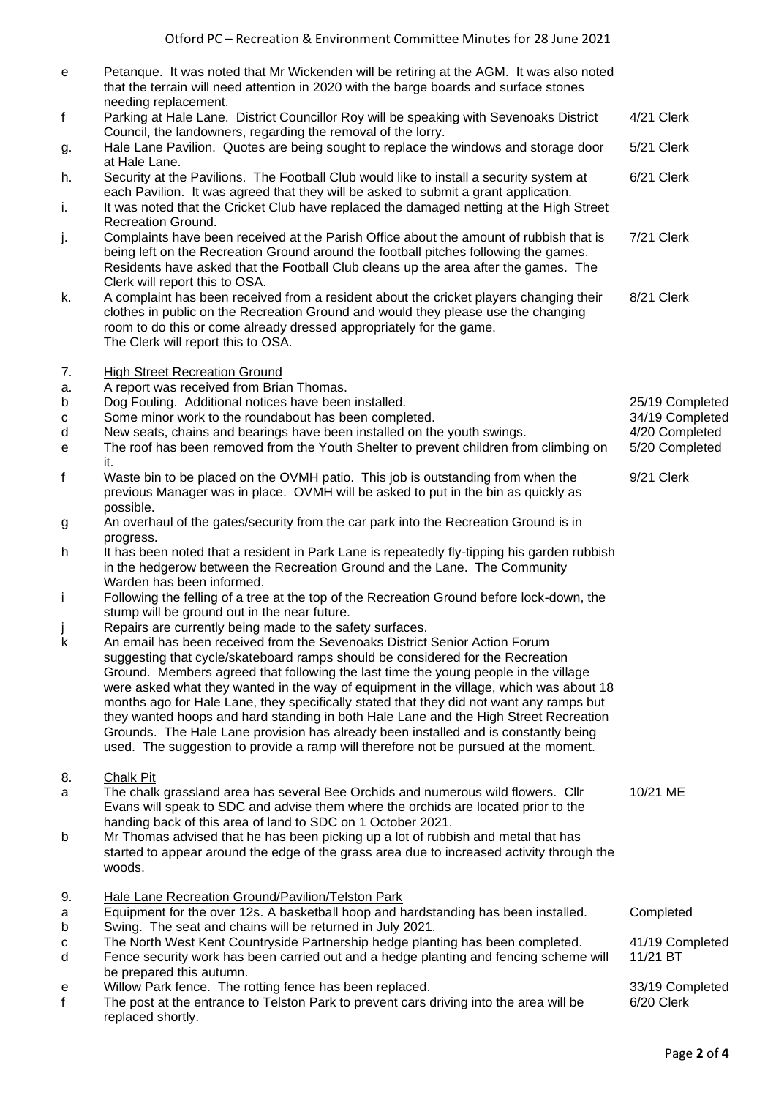| е            | Petanque. It was noted that Mr Wickenden will be retiring at the AGM. It was also noted<br>that the terrain will need attention in 2020 with the barge boards and surface stones<br>needing replacement.                                                                                                                                                                                                                                                                                                                                                                                                                         |                                   |
|--------------|----------------------------------------------------------------------------------------------------------------------------------------------------------------------------------------------------------------------------------------------------------------------------------------------------------------------------------------------------------------------------------------------------------------------------------------------------------------------------------------------------------------------------------------------------------------------------------------------------------------------------------|-----------------------------------|
| f            | Parking at Hale Lane. District Councillor Roy will be speaking with Sevenoaks District<br>Council, the landowners, regarding the removal of the lorry.                                                                                                                                                                                                                                                                                                                                                                                                                                                                           | 4/21 Clerk                        |
| g.           | Hale Lane Pavilion. Quotes are being sought to replace the windows and storage door<br>at Hale Lane.                                                                                                                                                                                                                                                                                                                                                                                                                                                                                                                             | 5/21 Clerk                        |
| h.           | Security at the Pavilions. The Football Club would like to install a security system at<br>each Pavilion. It was agreed that they will be asked to submit a grant application.                                                                                                                                                                                                                                                                                                                                                                                                                                                   | 6/21 Clerk                        |
| i.           | It was noted that the Cricket Club have replaced the damaged netting at the High Street<br><b>Recreation Ground.</b>                                                                                                                                                                                                                                                                                                                                                                                                                                                                                                             |                                   |
| j.           | Complaints have been received at the Parish Office about the amount of rubbish that is<br>being left on the Recreation Ground around the football pitches following the games.<br>Residents have asked that the Football Club cleans up the area after the games. The<br>Clerk will report this to OSA.                                                                                                                                                                                                                                                                                                                          | 7/21 Clerk                        |
| k.           | A complaint has been received from a resident about the cricket players changing their<br>clothes in public on the Recreation Ground and would they please use the changing<br>room to do this or come already dressed appropriately for the game.<br>The Clerk will report this to OSA.                                                                                                                                                                                                                                                                                                                                         | 8/21 Clerk                        |
| 7.<br>а.     | <b>High Street Recreation Ground</b><br>A report was received from Brian Thomas.                                                                                                                                                                                                                                                                                                                                                                                                                                                                                                                                                 |                                   |
| b            | Dog Fouling. Additional notices have been installed.                                                                                                                                                                                                                                                                                                                                                                                                                                                                                                                                                                             | 25/19 Completed                   |
| c<br>d       | Some minor work to the roundabout has been completed.<br>New seats, chains and bearings have been installed on the youth swings.                                                                                                                                                                                                                                                                                                                                                                                                                                                                                                 | 34/19 Completed<br>4/20 Completed |
| e            | The roof has been removed from the Youth Shelter to prevent children from climbing on<br>it.                                                                                                                                                                                                                                                                                                                                                                                                                                                                                                                                     | 5/20 Completed                    |
| f            | Waste bin to be placed on the OVMH patio. This job is outstanding from when the<br>previous Manager was in place. OVMH will be asked to put in the bin as quickly as<br>possible.                                                                                                                                                                                                                                                                                                                                                                                                                                                | 9/21 Clerk                        |
| g            | An overhaul of the gates/security from the car park into the Recreation Ground is in<br>progress.                                                                                                                                                                                                                                                                                                                                                                                                                                                                                                                                |                                   |
| h.           | It has been noted that a resident in Park Lane is repeatedly fly-tipping his garden rubbish<br>in the hedgerow between the Recreation Ground and the Lane. The Community<br>Warden has been informed.                                                                                                                                                                                                                                                                                                                                                                                                                            |                                   |
| j.           | Following the felling of a tree at the top of the Recreation Ground before lock-down, the<br>stump will be ground out in the near future.                                                                                                                                                                                                                                                                                                                                                                                                                                                                                        |                                   |
| j<br>k       | Repairs are currently being made to the safety surfaces.<br>An email has been received from the Sevenoaks District Senior Action Forum                                                                                                                                                                                                                                                                                                                                                                                                                                                                                           |                                   |
|              | suggesting that cycle/skateboard ramps should be considered for the Recreation<br>Ground. Members agreed that following the last time the young people in the village<br>were asked what they wanted in the way of equipment in the village, which was about 18<br>months ago for Hale Lane, they specifically stated that they did not want any ramps but<br>they wanted hoops and hard standing in both Hale Lane and the High Street Recreation<br>Grounds. The Hale Lane provision has already been installed and is constantly being<br>used. The suggestion to provide a ramp will therefore not be pursued at the moment. |                                   |
| 8.<br>a      | <b>Chalk Pit</b><br>The chalk grassland area has several Bee Orchids and numerous wild flowers. Cllr                                                                                                                                                                                                                                                                                                                                                                                                                                                                                                                             | 10/21 ME                          |
|              | Evans will speak to SDC and advise them where the orchids are located prior to the<br>handing back of this area of land to SDC on 1 October 2021.                                                                                                                                                                                                                                                                                                                                                                                                                                                                                |                                   |
| b            | Mr Thomas advised that he has been picking up a lot of rubbish and metal that has<br>started to appear around the edge of the grass area due to increased activity through the<br>woods.                                                                                                                                                                                                                                                                                                                                                                                                                                         |                                   |
| 9.<br>a      | Hale Lane Recreation Ground/Pavilion/Telston Park<br>Equipment for the over 12s. A basketball hoop and hardstanding has been installed.                                                                                                                                                                                                                                                                                                                                                                                                                                                                                          | Completed                         |
| b            | Swing. The seat and chains will be returned in July 2021.                                                                                                                                                                                                                                                                                                                                                                                                                                                                                                                                                                        |                                   |
| с<br>d       | The North West Kent Countryside Partnership hedge planting has been completed.<br>Fence security work has been carried out and a hedge planting and fencing scheme will                                                                                                                                                                                                                                                                                                                                                                                                                                                          | 41/19 Completed<br>11/21 BT       |
| e            | be prepared this autumn.<br>Willow Park fence. The rotting fence has been replaced.                                                                                                                                                                                                                                                                                                                                                                                                                                                                                                                                              | 33/19 Completed                   |
| $\mathsf{f}$ | The post at the entrance to Telston Park to prevent cars driving into the area will be<br>replaced shortly.                                                                                                                                                                                                                                                                                                                                                                                                                                                                                                                      | 6/20 Clerk                        |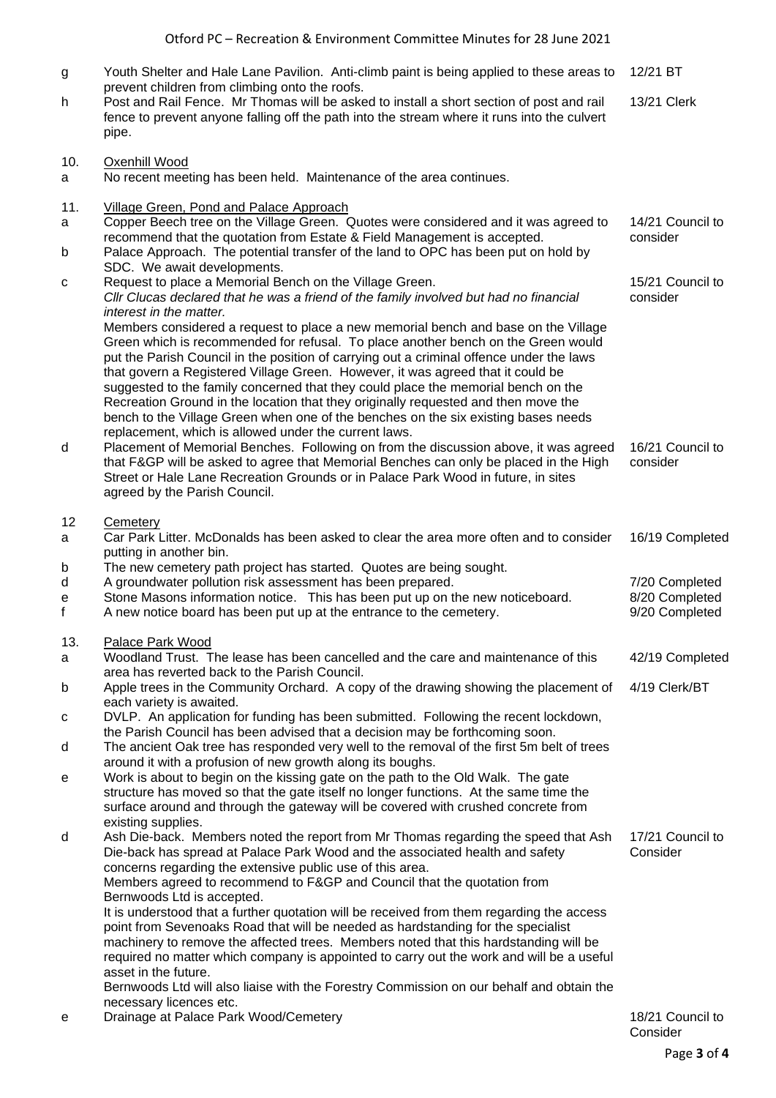- g Youth Shelter and Hale Lane Pavilion. Anti-climb paint is being applied to these areas to prevent children from climbing onto the roofs. 12/21 BT h Post and Rail Fence. Mr Thomas will be asked to install a short section of post and rail fence to prevent anyone falling off the path into the stream where it runs into the culvert pipe. 13/21 Clerk 10. Oxenhill Wood a No recent meeting has been held. Maintenance of the area continues. 11. Village Green, Pond and Palace Approach a Copper Beech tree on the Village Green. Quotes were considered and it was agreed to recommend that the quotation from Estate & Field Management is accepted. 14/21 Council to consider b Palace Approach. The potential transfer of the land to OPC has been put on hold by SDC. We await developments. c Request to place a Memorial Bench on the Village Green. *Cllr Clucas declared that he was a friend of the family involved but had no financial interest in the matter.* Members considered a request to place a new memorial bench and base on the Village Green which is recommended for refusal. To place another bench on the Green would put the Parish Council in the position of carrying out a criminal offence under the laws that govern a Registered Village Green. However, it was agreed that it could be suggested to the family concerned that they could place the memorial bench on the Recreation Ground in the location that they originally requested and then move the bench to the Village Green when one of the benches on the six existing bases needs replacement, which is allowed under the current laws. 15/21 Council to consider d Placement of Memorial Benches. Following on from the discussion above, it was agreed that F&GP will be asked to agree that Memorial Benches can only be placed in the High Street or Hale Lane Recreation Grounds or in Palace Park Wood in future, in sites agreed by the Parish Council. 16/21 Council to consider 12 Cemetery a Car Park Litter. McDonalds has been asked to clear the area more often and to consider putting in another bin. 16/19 Completed b The new cemetery path project has started. Quotes are being sought. d A groundwater pollution risk assessment has been prepared. 7/20 Completed e Stone Masons information notice. This has been put up on the new noticeboard. 8/20 Completed f A new notice board has been put up at the entrance to the cemetery. 9/20 Completed 13. Palace Park Wood a Woodland Trust. The lease has been cancelled and the care and maintenance of this area has reverted back to the Parish Council. 42/19 Completed b Apple trees in the Community Orchard. A copy of the drawing showing the placement of each variety is awaited. 4/19 Clerk/BT c DVLP. An application for funding has been submitted. Following the recent lockdown, the Parish Council has been advised that a decision may be forthcoming soon. d The ancient Oak tree has responded very well to the removal of the first 5m belt of trees around it with a profusion of new growth along its boughs. e Work is about to begin on the kissing gate on the path to the Old Walk. The gate structure has moved so that the gate itself no longer functions. At the same time the surface around and through the gateway will be covered with crushed concrete from existing supplies. d Ash Die-back. Members noted the report from Mr Thomas regarding the speed that Ash Die-back has spread at Palace Park Wood and the associated health and safety concerns regarding the extensive public use of this area. Members agreed to recommend to F&GP and Council that the quotation from Bernwoods Ltd is accepted. It is understood that a further quotation will be received from them regarding the access point from Sevenoaks Road that will be needed as hardstanding for the specialist machinery to remove the affected trees. Members noted that this hardstanding will be required no matter which company is appointed to carry out the work and will be a useful asset in the future. Bernwoods Ltd will also liaise with the Forestry Commission on our behalf and obtain the necessary licences etc. 17/21 Council to Consider
- e Drainage at Palace Park Wood/Cemetery 18/21 Council to 18/21 Council to

Consider